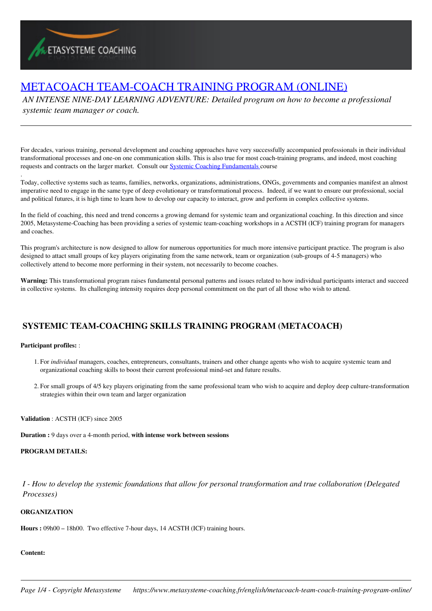# [METACOACH TEAM-COACH TRAINING PROGRAM \(ONLINE\)](https://www.metasysteme-coaching.fr/english/metacoach-team-coach-training-program-online/)

*AN INTENSE NINE-DAY LEARNING ADVENTURE: Detailed program on how to become a professional systemic team manager or coach.*

For decades, various training, personal development and coaching approaches have very successfully accompanied professionals in their individual transformational processes and one-on one communication skills. This is also true for most coach-training programs, and indeed, most coaching requests and contracts on the larger market. Consult our **Systemic Coaching Fundamentals** course

Today, collective systems such as teams, families, networks, organizations, administrations, ONGs, governments and companies manifest an almost imperative need to engage in the same type of deep evolutionary or transformational process. Indeed, if we want to ensure our professional, social and political futures, it is high time to learn how to develop our capacity to interact, grow and perform in complex collective systems.

In the field of coaching, this need and trend concerns a growing demand for systemic team and organizational coaching. In this direction and since 2005, Metasysteme-Coaching has been providing a series of systemic team-coaching workshops in a ACSTH (ICF) training program for managers and coaches.

This program's architecture is now designed to allow for numerous opportunities for much more intensive participant practice. The program is also designed to attact small groups of key players originating from the same network, team or organization (sub-groups of 4-5 managers) who collectively attend to become more performing in their system, not necessarily to become coaches.

**Warning:** This transformational program raises fundamental personal patterns and issues related to how individual participants interact and succeed in collective systems. Its challenging intensity requires deep personal commitment on the part of all those who wish to attend.

## **SYSTEMIC TEAM-COACHING SKILLS TRAINING PROGRAM (METACOACH)**

### **Participant profiles:** :

.

- 1. For *individual* managers, coaches, entrepreneurs, consultants, trainers and other change agents who wish to acquire systemic team and organizational coaching skills to boost their current professional mind-set and future results.
- 2. For small groups of 4/5 key players originating from the same professional team who wish to acquire and deploy deep culture-transformation strategies within their own team and larger organization

**Validation** : ACSTH (ICF) since 2005

**Duration :** 9 days over a 4-month period, **with intense work between sessions**

### **PROGRAM DETAILS:**

*I - How to develop the systemic foundations that allow for personal transformation and true collaboration (Delegated Processes)* 

### **ORGANIZATION**

**Hours :** 09h00 – 18h00. Two effective 7-hour days, 14 ACSTH (ICF) training hours.

### **Content:**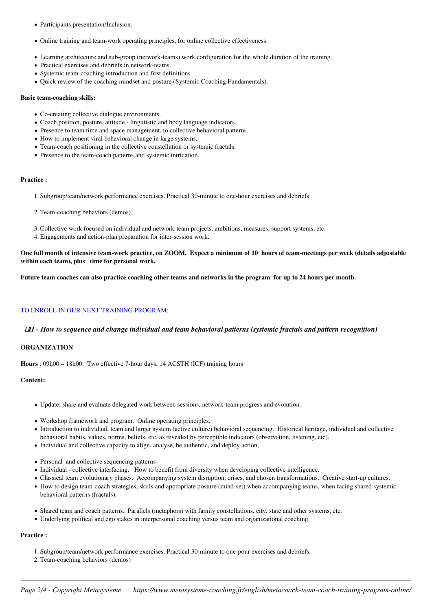- Participants presentation/Inclusion.
- Online training and team-work operating principles, for online collective effectiveness.
- Learning architecture and sub-group (network-teams) work configuration for the whole duration of the training.
- Practical exercises and debriefs in network-teams.
- Systemic team-coaching introduction and first definitions
- Quick review of the coaching mindset and posture (Systemic Coaching Fundamentals).

#### **Basic team-coaching skills:**

- Co-creating collective dialogue environments.
- Coach position, posture, attitude linguiistic and body language indicators.
- Presence to team time and space management, to collective behavioral patterns.
- How to implement viral behavioral change in large systems.
- Team-coach positioning in the collective constellation or systemic fractals.
- Presence to the team-coach patterns and systemic intrication.

#### **Practice :**

- 1. Subgroup/team/network performance exercises. Practical 30-minute to one-hour exercises and debriefs.
- 2. Team-coaching behaviors (demos).
- 3. Collective work focused on individual and network-team projects, ambitions, measures, support systems, etc.
- 4. Engagements and action-plan preparation for inter-session work.

**One full month of intensive team-work practice, on ZOOM. Expect a minimum of 10 hours of team-meetings per week (details adjustable within each team), plus time for personal work.**

**Future team coaches can also practice coaching other teams and networks in the program for up to 24 hours per month.**

### TO ENROLL IN OUR NEXT TRAINING PROGRAM:

### *II - How to sequence and change individual and team behavioral patterns (systemic fractals and pattern recognition)*

### **ORGANIZATION**

**Hours** : 09h00 – 18h00. Two effective 7-hour days, 14 ACSTH (ICF) training hours

### **Content:**

- Update: share and evaluate delegated work between sessions, network-team progress and evolution.
- Workshop framework and program. Online operating principles.
- Introduction to individual, team and larger system (active culture) behavioral sequencing. Historical heritage, individual and collective behavioral habits, values, norms, beliefs, etc. as revealed by perceptible indicators (observation, listening, etc).
- Individual and collective capacity to align, analyse, be authentic, and deploy action,
- Personal and collective sequencing patterns
- Individual collective interfacing. How to benefit from diversity when developing collective intelligence.
- Classical team evolutionary phases. Accompanying system disruption, crises, and chosen transformations. Creative start-up cultures.
- How to design team-coach strategies, skills and appropriate posture (mind-set) when accompanying teams, when facing shared systemic behavioral patterns (fractals).
- Shared team and coach patterns. Parallels (metaphors) with family constellations, city, state and other systems, etc.
- Underlying political and ego stakes in interpersonal coaching versus team and organizational coaching.

### **Practice :**

- 1. Subgroup/team/network performance exercises. Practical 30-minute to one-pour exercises and debriefs.
- 2. Team-coaching behaviors (demos)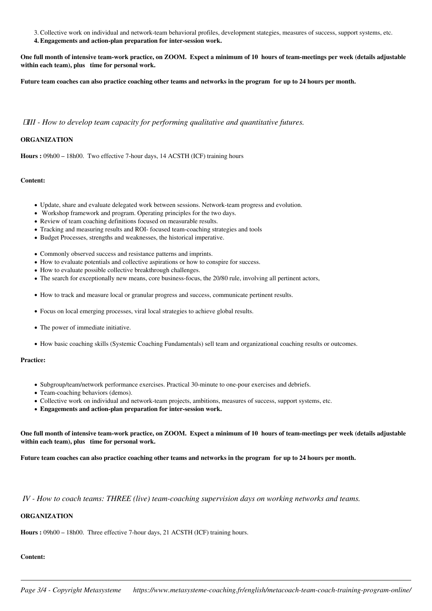3. Collective work on individual and network-team behavioral profiles, development stategies, measures of success, support systems, etc.

**4. Engagements and action-plan preparation for inter-session work.**

**One full month of intensive team-work practice, on ZOOM. Expect a minimum of 10 hours of team-meetings per week (details adjustable within each team), plus time for personal work.**

**Future team coaches can also practice coaching other teams and networks in the program for up to 24 hours per month.**

### *III - How to develop team capacity for performing qualitative and quantitative futures.*

### **ORGANIZATION**

**Hours :** 09h00 – 18h00. Two effective 7-hour days, 14 ACSTH (ICF) training hours

#### **Content:**

- Update, share and evaluate delegated work between sessions. Network-team progress and evolution.
- Workshop framework and program. Operating principles for the two days.
- Review of team coaching definitions focused on measurable results.
- Tracking and measuring results and ROI- focused team-coaching strategies and tools
- Budget Processes, strengths and weaknesses, the historical imperative.
- Commonly observed success and resistance patterns and imprints.
- How to evaluate potentials and collective aspirations or how to conspire for success.
- How to evaluate possible collective breakthrough challenges.
- The search for exceptionally new means, core business-focus, the 20/80 rule, involving all pertinent actors,
- How to track and measure local or granular progress and success, communicate pertinent results.
- Focus on local emerging processes, viral local strategies to achieve global results.
- The power of immediate initiative.
- How basic coaching skills (Systemic Coaching Fundamentals) sell team and organizational coaching results or outcomes.

#### **Practice:**

- Subgroup/team/network performance exercises. Practical 30-minute to one-pour exercises and debriefs.
- Team-coaching behaviors (demos).
- Collective work on individual and network-team projects, ambitions, measures of success, support systems, etc.
- **Engagements and action-plan preparation for inter-session work.**

**One full month of intensive team-work practice, on ZOOM. Expect a minimum of 10 hours of team-meetings per week (details adjustable within each team), plus time for personal work.**

**Future team coaches can also practice coaching other teams and networks in the program for up to 24 hours per month.**

### *IV - How to coach teams: THREE (live) team-coaching supervision days on working networks and teams.*

### **ORGANIZATION**

**Hours :** 09h00 – 18h00. Three effective 7-hour days, 21 ACSTH (ICF) training hours.

### **Content:**